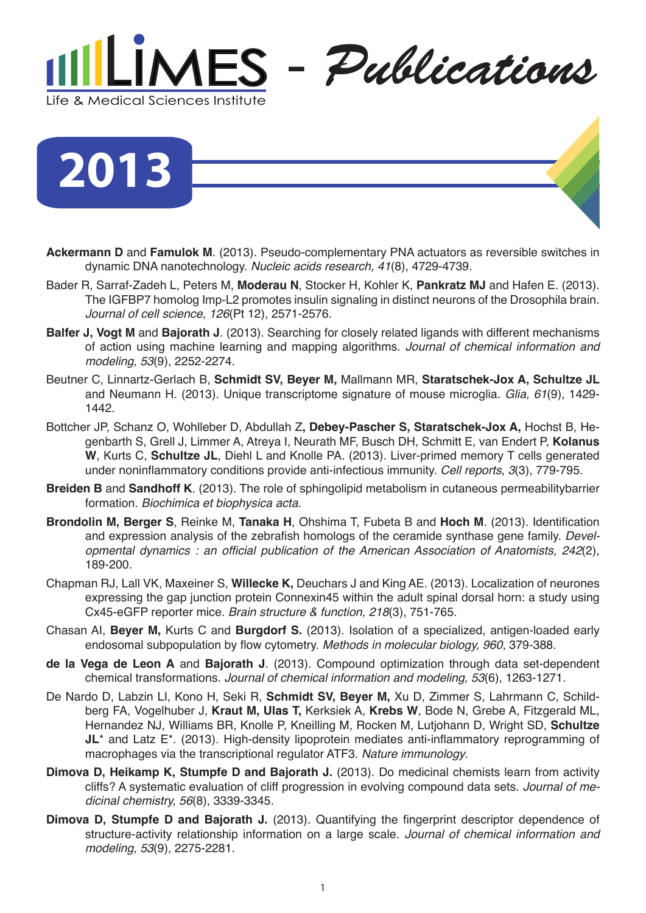

## **2013**

- **Ackermann D** and **Famulok M**. (2013). Pseudo-complementary PNA actuators as reversible switches in dynamic DNA nanotechnology. *Nucleic acids research, 41*(8), 4729-4739.
- Bader R, Sarraf-Zadeh L, Peters M, **Moderau N**, Stocker H, Kohler K, **Pankratz MJ** and Hafen E. (2013). The IGFBP7 homolog Imp-L2 promotes insulin signaling in distinct neurons of the Drosophila brain. *Journal of cell science, 126*(Pt 12), 2571-2576.
- **Balfer J, Vogt M** and **Bajorath J**. (2013). Searching for closely related ligands with different mechanisms of action using machine learning and mapping algorithms. *Journal of chemical information and modeling, 53*(9), 2252-2274.
- Beutner C, Linnartz-Gerlach B, **Schmidt SV, Beyer M,** Mallmann MR, **Staratschek-Jox A, Schultze JL**  and Neumann H. (2013). Unique transcriptome signature of mouse microglia. *Glia, 61*(9), 1429- 1442.
- Bottcher JP, Schanz O, Wohlleber D, Abdullah Z**, Debey-Pascher S, Staratschek-Jox A,** Hochst B, Hegenbarth S, Grell J, Limmer A, Atreya I, Neurath MF, Busch DH, Schmitt E, van Endert P, **Kolanus W**, Kurts C, **Schultze JL**, Diehl L and Knolle PA. (2013). Liver-primed memory T cells generated under noninflammatory conditions provide anti-infectious immunity. *Cell reports, 3*(3), 779-795.
- **Breiden B** and **Sandhoff K**. (2013). The role of sphingolipid metabolism in cutaneous permeabilitybarrier formation. *Biochimica et biophysica acta*.
- **Brondolin M, Berger S**, Reinke M, **Tanaka H**, Ohshima T, Fubeta B and **Hoch M**. (2013). Identification and expression analysis of the zebrafish homologs of the ceramide synthase gene family. *Devel*opmental dynamics : an official publication of the American Association of Anatomists, 242(2), 189-200.
- Chapman RJ, Lall VK, Maxeiner S, **Willecke K,** Deuchars J and King AE. (2013). Localization of neurones expressing the gap junction protein Connexin45 within the adult spinal dorsal horn: a study using Cx45-eGFP reporter mice. *Brain structure & function, 218*(3), 751-765.
- Chasan AI, **Beyer M,** Kurts C and **Burgdorf S.** (2013). Isolation of a specialized, antigen-loaded early endosomal subpopulation by flow cytometry. *Methods in molecular biology, 960*, 379-388.
- **de la Vega de Leon A** and **Bajorath J**. (2013). Compound optimization through data set-dependent chemical transformations. *Journal of chemical information and modeling, 53*(6), 1263-1271.
- De Nardo D, Labzin LI, Kono H, Seki R, **Schmidt SV, Beyer M,** Xu D, Zimmer S, Lahrmann C, Schildberg FA, Vogelhuber J, **Kraut M, Ulas T,** Kerksiek A, **Krebs W**, Bode N, Grebe A, Fitzgerald ML, Hernandez NJ, Williams BR, Knolle P, Kneilling M, Rocken M, Lutjohann D, Wright SD, **Schultze JL**<sup>\*</sup> and Latz E<sup>\*</sup>. (2013). High-density lipoprotein mediates anti-inflammatory reprogramming of macrophages via the transcriptional regulator ATF3. *Nature immunology*.
- **Dimova D, Heikamp K, Stumpfe D and Bajorath J.** (2013). Do medicinal chemists learn from activity cliffs? A systematic evaluation of cliff progression in evolving compound data sets. *Journal of medicinal chemistry, 56*(8), 3339-3345.
- **Dimova D, Stumpfe D and Bajorath J.** (2013). Quantifying the fingerprint descriptor dependence of structure-activity relationship information on a large scale. *Journal of chemical information and modeling, 53*(9), 2275-2281.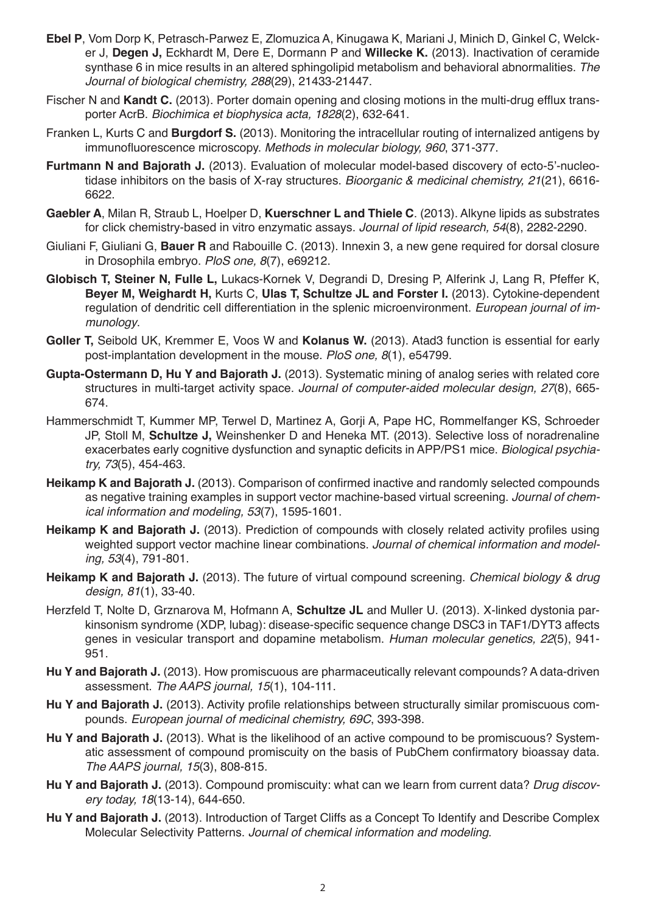- **Ebel P**, Vom Dorp K, Petrasch-Parwez E, Zlomuzica A, Kinugawa K, Mariani J, Minich D, Ginkel C, Welcker J, **Degen J,** Eckhardt M, Dere E, Dormann P and **Willecke K.** (2013). Inactivation of ceramide synthase 6 in mice results in an altered sphingolipid metabolism and behavioral abnormalities. *The Journal of biological chemistry, 288*(29), 21433-21447.
- Fischer N and **Kandt C.** (2013). Porter domain opening and closing motions in the multi-drug efflux transporter AcrB. *Biochimica et biophysica acta, 1828*(2), 632-641.
- Franken L, Kurts C and **Burgdorf S.** (2013). Monitoring the intracellular routing of internalized antigens by immunofluorescence microscopy. *Methods in molecular biology, 960*, 371-377.
- **Furtmann N and Bajorath J.** (2013). Evaluation of molecular model-based discovery of ecto-5'-nucleotidase inhibitors on the basis of X-ray structures. *Bioorganic & medicinal chemistry, 21*(21), 6616- 6622.
- **Gaebler A**, Milan R, Straub L, Hoelper D, **Kuerschner L and Thiele C**. (2013). Alkyne lipids as substrates for click chemistry-based in vitro enzymatic assays. *Journal of lipid research, 54*(8), 2282-2290.
- Giuliani F, Giuliani G, **Bauer R** and Rabouille C. (2013). Innexin 3, a new gene required for dorsal closure in Drosophila embryo. *PloS one, 8*(7), e69212.
- **Globisch T, Steiner N, Fulle L,** Lukacs-Kornek V, Degrandi D, Dresing P, Alferink J, Lang R, Pfeffer K, **Beyer M, Weighardt H,** Kurts C, **Ulas T, Schultze JL and Forster I.** (2013). Cytokine-dependent regulation of dendritic cell differentiation in the splenic microenvironment. *European journal of immunology*.
- **Goller T,** Seibold UK, Kremmer E, Voos W and **Kolanus W.** (2013). Atad3 function is essential for early post-implantation development in the mouse. *PloS one, 8*(1), e54799.
- **Gupta-Ostermann D, Hu Y and Bajorath J.** (2013). Systematic mining of analog series with related core structures in multi-target activity space. *Journal of computer-aided molecular design, 27*(8), 665- 674.
- Hammerschmidt T, Kummer MP, Terwel D, Martinez A, Gorji A, Pape HC, Rommelfanger KS, Schroeder JP, Stoll M, **Schultze J,** Weinshenker D and Heneka MT. (2013). Selective loss of noradrenaline exacerbates early cognitive dysfunction and synaptic deficits in APP/PS1 mice. *Biological psychiatry, 73*(5), 454-463.
- **Heikamp K and Bajorath J.** (2013). Comparison of confirmed inactive and randomly selected compounds as negative training examples in support vector machine-based virtual screening. *Journal of chemical information and modeling, 53*(7), 1595-1601.
- Heikamp K and Bajorath J. (2013). Prediction of compounds with closely related activity profiles using weighted support vector machine linear combinations. *Journal of chemical information and modeling, 53*(4), 791-801.
- **Heikamp K and Bajorath J.** (2013). The future of virtual compound screening. *Chemical biology & drug design, 81*(1), 33-40.
- Herzfeld T, Nolte D, Grznarova M, Hofmann A, **Schultze JL** and Muller U. (2013). X-linked dystonia parkinsonism syndrome (XDP, lubag): disease-specific sequence change DSC3 in TAF1/DYT3 affects genes in vesicular transport and dopamine metabolism. *Human molecular genetics, 22*(5), 941- 951.
- **Hu Y and Bajorath J.** (2013). How promiscuous are pharmaceutically relevant compounds? A data-driven assessment. The AAPS journal, 15(1), 104-111.
- **Hu Y and Bajorath J.** (2013). Activity profile relationships between structurally similar promiscuous compounds. *European journal of medicinal chemistry, 69C*, 393-398.
- **Hu Y and Bajorath J.** (2013). What is the likelihood of an active compound to be promiscuous? Systematic assessment of compound promiscuity on the basis of PubChem confirmatory bioassay data. The AAPS journal, 15(3), 808-815.
- **Hu Y and Bajorath J.** (2013). Compound promiscuity: what can we learn from current data? *Drug discovery today, 18*(13-14), 644-650.
- **Hu Y and Bajorath J.** (2013). Introduction of Target Cliffs as a Concept To Identify and Describe Complex Molecular Selectivity Patterns. *Journal of chemical information and modeling*.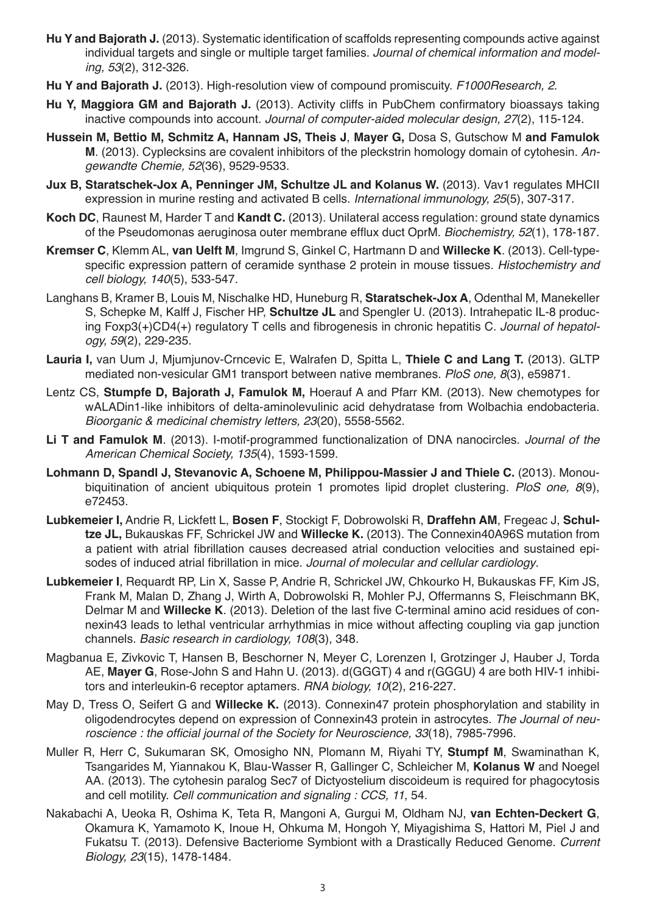- **Hu Y and Bajorath J.** (2013). Systematic identification of scaffolds representing compounds active against individual targets and single or multiple target families. *Journal of chemical information and modeling, 53*(2), 312-326.
- **Hu Y and Bajorath J.** (2013). High-resolution view of compound promiscuity. *F1000Research, 2*.
- **Hu Y, Maggiora GM and Bajorath J.** (2013). Activity cliffs in PubChem confirmatory bioassays taking inactive compounds into account. *Journal of computer-aided molecular design, 27*(2), 115-124.
- **Hussein M, Bettio M, Schmitz A, Hannam JS, Theis J**, **Mayer G,** Dosa S, Gutschow M **and Famulok M**. (2013). Cyplecksins are covalent inhibitors of the pleckstrin homology domain of cytohesin. An*gewandte Chemie, 52*(36), 9529-9533.
- **Jux B. Staratschek-Jox A. Penninger JM. Schultze JL and Kolanus W.** (2013). Vav1 regulates MHCII expression in murine resting and activated B cells. *International immunology, 25*(5), 307-317.
- **Koch DC**, Raunest M, Harder T and **Kandt C.** (2013). Unilateral access regulation: ground state dynamics of the Pseudomonas aeruginosa outer membrane efflux duct OprM. *Biochemistry, 52*(1), 178-187.
- **Kremser C**, Klemm AL, **van Uelft M**, Imgrund S, Ginkel C, Hartmann D and **Willecke K**. (2013). Cell-typespecific expression pattern of ceramide synthase 2 protein in mouse tissues. *Histochemistry and cell biology, 140*(5), 533-547.
- Langhans B, Kramer B, Louis M, Nischalke HD, Huneburg R, **Staratschek-Jox A**, Odenthal M, Manekeller S, Schepke M, Kalff J, Fischer HP, **Schultze JL** and Spengler U. (2013). Intrahepatic IL-8 producing Foxp3(+)CD4(+) regulatory T cells and fibrogenesis in chronic hepatitis C. *Journal of hepatology, 59*(2), 229-235.
- **Lauria I,** van Uum J, Mjumjunov-Crncevic E, Walrafen D, Spitta L, **Thiele C and Lang T.** (2013). GLTP mediated non-vesicular GM1 transport between native membranes. *PloS one, 8*(3), e59871.
- Lentz CS, **Stumpfe D, Bajorath J, Famulok M,** Hoerauf A and Pfarr KM. (2013). New chemotypes for wALADin1-like inhibitors of delta-aminolevulinic acid dehydratase from Wolbachia endobacteria. *Bioorganic & medicinal chemistry letters, 23*(20), 5558-5562.
- **Li T and Famulok M**. (2013). I-motif-programmed functionalization of DNA nanocircles. *Journal of the*  American Chemical Society, 135(4), 1593-1599.
- **Lohmann D, Spandl J, Stevanovic A, Schoene M, Philippou-Massier J and Thiele C.** (2013). Monoubiquitination of ancient ubiquitous protein 1 promotes lipid droplet clustering. *PloS one, 8*(9), e72453.
- **Lubkemeier I,** Andrie R, Lickfett L, **Bosen F**, Stockigt F, Dobrowolski R, **Draffehn AM**, Fregeac J, **Schultze JL,** Bukauskas FF, Schrickel JW and **Willecke K.** (2013). The Connexin40A96S mutation from a patient with atrial fibrillation causes decreased atrial conduction velocities and sustained episodes of induced atrial fibrillation in mice. *Journal of molecular and cellular cardiology*.
- **Lubkemeier I**, Requardt RP, Lin X, Sasse P, Andrie R, Schrickel JW, Chkourko H, Bukauskas FF, Kim JS, Frank M, Malan D, Zhang J, Wirth A, Dobrowolski R, Mohler PJ, Offermanns S, Fleischmann BK, Delmar M and **Willecke K**. (2013). Deletion of the last five C-terminal amino acid residues of connexin43 leads to lethal ventricular arrhythmias in mice without affecting coupling via gap junction channels. *Basic research in cardiology, 108*(3), 348.
- Magbanua E, Zivkovic T, Hansen B, Beschorner N, Meyer C, Lorenzen I, Grotzinger J, Hauber J, Torda AE, **Mayer G**, Rose-John S and Hahn U. (2013). d(GGGT) 4 and r(GGGU) 4 are both HIV-1 inhibitors and interleukin-6 receptor aptamers. RNA biology, 10(2), 216-227.
- May D, Tress O, Seifert G and **Willecke K.** (2013). Connexin47 protein phosphorylation and stability in oligodendrocytes depend on expression of Connexin43 protein in astrocytes. *The Journal of neu*roscience : the official journal of the Society for Neuroscience, 33(18), 7985-7996.
- Muller R, Herr C, Sukumaran SK, Omosigho NN, Plomann M, Riyahi TY, **Stumpf M**, Swaminathan K, Tsangarides M, Yiannakou K, Blau-Wasser R, Gallinger C, Schleicher M, **Kolanus W** and Noegel AA. (2013). The cytohesin paralog Sec7 of Dictyostelium discoideum is required for phagocytosis and cell motility. *Cell communication and signaling : CCS, 11*, 54.
- Nakabachi A, Ueoka R, Oshima K, Teta R, Mangoni A, Gurgui M, Oldham NJ, **van Echten-Deckert G**, Okamura K, Yamamoto K, Inoue H, Ohkuma M, Hongoh Y, Miyagishima S, Hattori M, Piel J and Fukatsu T. (2013). Defensive Bacteriome Symbiont with a Drastically Reduced Genome. *Current Biology, 23*(15), 1478-1484.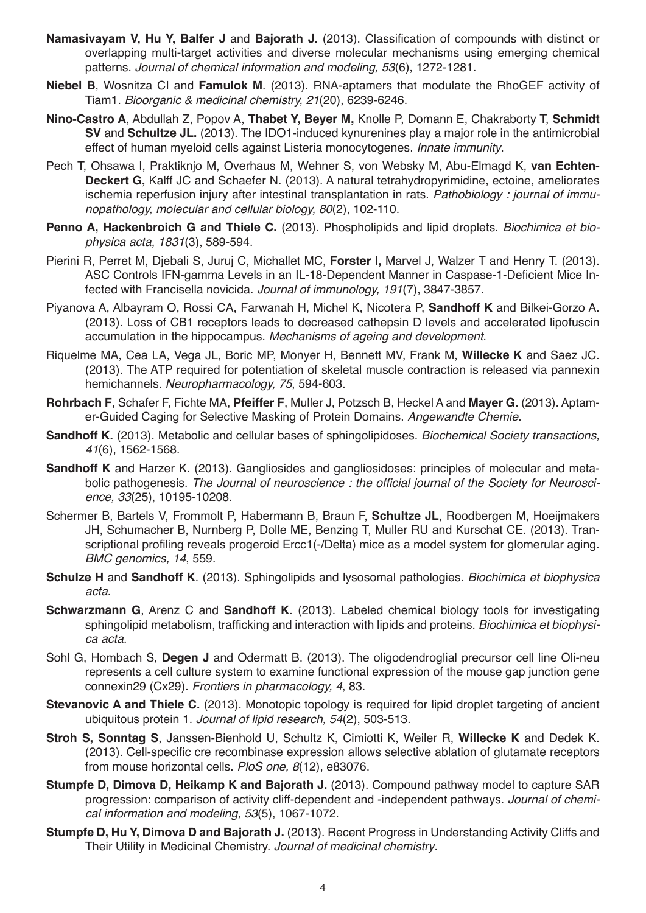- **Namasivayam V, Hu Y, Balfer J** and **Bajorath J.** (2013). Classification of compounds with distinct or overlapping multi-target activities and diverse molecular mechanisms using emerging chemical patterns. *Journal of chemical information and modeling, 53*(6), 1272-1281.
- **Niebel B**, Wosnitza CI and **Famulok M**. (2013). RNA-aptamers that modulate the RhoGEF activity of Tiam1. *Bioorganic & medicinal chemistry, 21*(20), 6239-6246.
- **Nino-Castro A**, Abdullah Z, Popov A, **Thabet Y, Beyer M,** Knolle P, Domann E, Chakraborty T, **Schmidt SV** and **Schultze JL.** (2013). The IDO1-induced kynurenines play a major role in the antimicrobial effect of human myeloid cells against Listeria monocytogenes. *Innate immunity*.
- Pech T, Ohsawa I, Praktiknjo M, Overhaus M, Wehner S, von Websky M, Abu-Elmagd K, **van Echten-Deckert G,** Kalff JC and Schaefer N. (2013). A natural tetrahydropyrimidine, ectoine, ameliorates ischemia reperfusion injury after intestinal transplantation in rats. *Pathobiology : journal of immunopathology, molecular and cellular biology, 80*(2), 102-110.
- **Penno A, Hackenbroich G and Thiele C.** (2013). Phospholipids and lipid droplets. *Biochimica et biophysica acta, 1831*(3), 589-594.
- Pierini R, Perret M, Djebali S, Juruj C, Michallet MC, **Forster I,** Marvel J, Walzer T and Henry T. (2013). ASC Controls IFN-gamma Levels in an IL-18-Dependent Manner in Caspase-1-Deficient Mice Infected with Francisella novicida. *Journal of immunology, 191*(7), 3847-3857.
- Piyanova A, Albayram O, Rossi CA, Farwanah H, Michel K, Nicotera P, **Sandhoff K** and Bilkei-Gorzo A. (2013). Loss of CB1 receptors leads to decreased cathepsin D levels and accelerated lipofuscin accumulation in the hippocampus. *Mechanisms of ageing and development*.
- Riquelme MA, Cea LA, Vega JL, Boric MP, Monyer H, Bennett MV, Frank M, **Willecke K** and Saez JC. (2013). The ATP required for potentiation of skeletal muscle contraction is released via pannexin hemichannels. *Neuropharmacology, 75*, 594-603.
- **Rohrbach F**, Schafer F, Fichte MA, **Pfeiffer F**, Muller J, Potzsch B, Heckel A and **Mayer G.** (2013). Aptamer-Guided Caging for Selective Masking of Protein Domains. Angewandte Chemie.
- **Sandhoff K.** (2013). Metabolic and cellular bases of sphingolipidoses. *Biochemical Society transactions, 41*(6), 1562-1568.
- **Sandhoff K** and Harzer K. (2013). Gangliosides and gangliosidoses: principles of molecular and metabolic pathogenesis. The Journal of neuroscience : the official journal of the Society for Neurosci*ence, 33*(25), 10195-10208.
- Schermer B, Bartels V, Frommolt P, Habermann B, Braun F, **Schultze JL**, Roodbergen M, Hoeijmakers JH, Schumacher B, Nurnberg P, Dolle ME, Benzing T, Muller RU and Kurschat CE. (2013). Transcriptional profiling reveals progeroid Ercc1(-/Delta) mice as a model system for glomerular aging. *BMC genomics, 14*, 559.
- **Schulze H** and **Sandhoff K**. (2013). Sphingolipids and lysosomal pathologies. *Biochimica et biophysica acta*.
- **Schwarzmann G**, Arenz C and **Sandhoff K**. (2013). Labeled chemical biology tools for investigating sphingolipid metabolism, trafficking and interaction with lipids and proteins. *Biochimica et biophysica acta*.
- Sohl G, Hombach S, **Degen J** and Odermatt B. (2013). The oligodendroglial precursor cell line Oli-neu represents a cell culture system to examine functional expression of the mouse gap junction gene connexin29 (Cx29). *Frontiers in pharmacology, 4*, 83.
- **Stevanovic A and Thiele C.** (2013). Monotopic topology is required for lipid droplet targeting of ancient ubiquitous protein 1. *Journal of lipid research, 54*(2), 503-513.
- **Stroh S, Sonntag S**, Janssen-Bienhold U, Schultz K, Cimiotti K, Weiler R, **Willecke K** and Dedek K. (2013). Cell-specific cre recombinase expression allows selective ablation of glutamate receptors from mouse horizontal cells. *PloS one, 8*(12), e83076.
- **Stumpfe D, Dimova D, Heikamp K and Bajorath J.** (2013). Compound pathway model to capture SAR progression: comparison of activity cliff-dependent and -independent pathways. *Journal of chemical information and modeling, 53*(5), 1067-1072.
- **Stumpfe D, Hu Y, Dimova D and Bajorath J.** (2013). Recent Progress in Understanding Activity Cliffs and Their Utility in Medicinal Chemistry. *Journal of medicinal chemistry*.